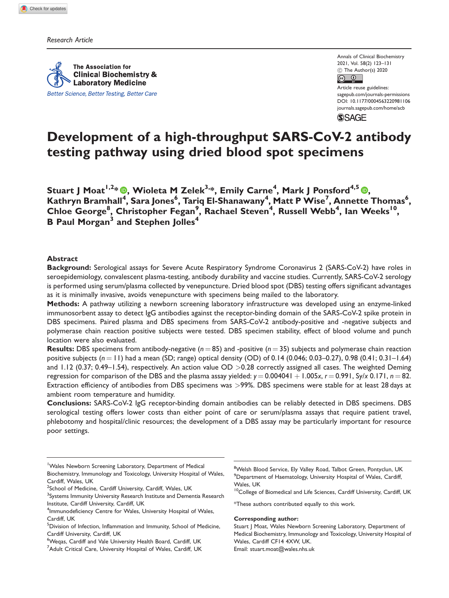Research Article

The Association for **Clinical Biochemistry & Laboratory Medicine** Better Science, Better Testing, Better Care

Annals of Clinical Biochemistry 2021, Vol. 58(2) 123–131  $\circledcirc$  The Author(s) 2020  $\boxed{6}$   $\boxed{0}$ 

Article reuse guidelines: [sagepub.com/journals-permissions](http://uk.sagepub.com/en-gb/journals-permissions) [DOI: 10.1177/0004563220981106](http://dx.doi.org/10.1177/0004563220981106) <journals.sagepub.com/home/acb>**SSAGE** 

# Development of a high-throughput SARS-CoV-2 antibody testing pathway using dried blood spot specimens

Stuart J Moat1,2\* [,](https://orcid.org/0000-0002-3592-2254) Wioleta M Zelek3,\*, Emily Carne4 , Mark J Ponsford4,5 , Kathryn Bramhall<sup>4</sup>, Sara Jones<sup>6</sup>, Tariq El-Shanawany<sup>4</sup>, Matt P Wise<sup>7</sup>, Annette Thomas<sup>6</sup>, Chloe George<sup>8</sup>, Christopher Fegan<sup>9</sup>, Rachael Steven<sup>4</sup>, Russell Webb<sup>4</sup>, Ian Weeks<sup>10</sup>, B Paul Morgan<sup>3</sup> and Stephen Jolles<sup>4</sup>

## Abstract

Background: Serological assays for Severe Acute Respiratory Syndrome Coronavirus 2 (SARS-CoV-2) have roles in seroepidemiology, convalescent plasma-testing, antibody durability and vaccine studies. Currently, SARS-CoV-2 serology is performed using serum/plasma collected by venepuncture. Dried blood spot (DBS) testing offers significant advantages as it is minimally invasive, avoids venepuncture with specimens being mailed to the laboratory.

Methods: A pathway utilizing a newborn screening laboratory infrastructure was developed using an enzyme-linked immunosorbent assay to detect IgG antibodies against the receptor-binding domain of the SARS-CoV-2 spike protein in DBS specimens. Paired plasma and DBS specimens from SARS-CoV-2 antibody-positive and -negative subjects and polymerase chain reaction positive subjects were tested. DBS specimen stability, effect of blood volume and punch location were also evaluated.

**Results:** DBS specimens from antibody-negative ( $n = 85$ ) and -positive ( $n = 35$ ) subjects and polymerase chain reaction positive subjects  $(n = 11)$  had a mean (SD; range) optical density (OD) of 0.14 (0.046; 0.03–0.27), 0.98 (0.41; 0.31–1.64) and  $1.12$  (0.37; 0.49–1.54), respectively. An action value OD  $>0.28$  correctly assigned all cases. The weighted Deming regression for comparison of the DBS and the plasma assay yielded:  $y = 0.004041 + 1.005x$ ,  $r = 0.991$ , Sy/x 0.171,  $n = 82$ . Extraction efficiency of antibodies from DBS specimens was >99%. DBS specimens were stable for at least 28 days at ambient room temperature and humidity.

Conclusions: SARS-CoV-2 IgG receptor-binding domain antibodies can be reliably detected in DBS specimens. DBS serological testing offers lower costs than either point of care or serum/plasma assays that require patient travel, phlebotomy and hospital/clinic resources; the development of a DBS assay may be particularly important for resource poor settings.

- <sup>1</sup>Wales Newborn Screening Laboratory, Department of Medical Biochemistry, Immunology and Toxicology, University Hospital of Wales, Cardiff, Wales, UK
- <sup>2</sup>School of Medicine, Cardiff University, Cardiff, Wales, UK
- <sup>3</sup>Systems Immunity University Research Institute and Dementia Research Institute, Cardiff University, Cardiff, UK

#### Corresponding author:

<sup>&</sup>lt;sup>4</sup>Immunodeficiency Centre for Wales, University Hospital of Wales, Cardiff, UK

<sup>&</sup>lt;sup>5</sup>Division of Infection, Inflammation and Immunity, School of Medicine, Cardiff University, Cardiff, UK

<sup>&</sup>lt;sup>6</sup>Weqas, Cardiff and Vale University Health Board, Cardiff, UK <sup>7</sup>Adult Critical Care, University Hospital of Wales, Cardiff, UK

<sup>&</sup>lt;sup>8</sup>Welsh Blood Service, Ely Valley Road, Talbot Green, Pontyclun, UK <sup>9</sup> Department of Haematology, University Hospital of Wales, Cardiff, Wales, UK

<sup>&</sup>lt;sup>10</sup>College of Biomedical and Life Sciences, Cardiff University, Cardiff, UK

<sup>\*</sup>These authors contributed equally to this work.

Stuart J Moat, Wales Newborn Screening Laboratory, Department of Medical Biochemistry, Immunology and Toxicology, University Hospital of Wales, Cardiff CF14 4XW, UK. Email: [stuart.moat@wales.nhs.uk](mailto:stuart.moat@wales.nhs.uk)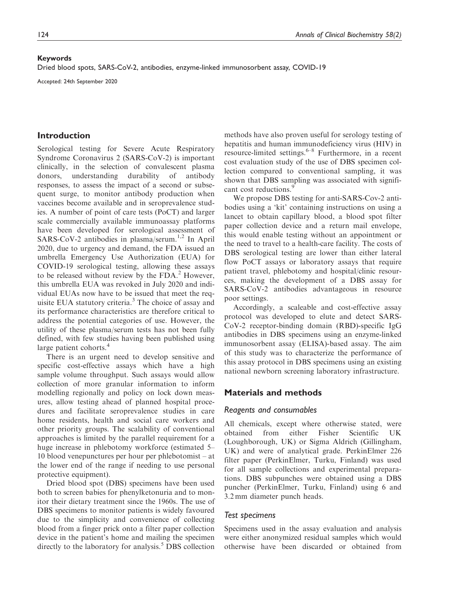### Keywords

Dried blood spots, SARS-CoV-2, antibodies, enzyme-linked immunosorbent assay, COVID-19

Accepted: 24th September 2020

## Introduction

Serological testing for Severe Acute Respiratory Syndrome Coronavirus 2 (SARS-CoV-2) is important clinically, in the selection of convalescent plasma donors, understanding durability of antibody responses, to assess the impact of a second or subsequent surge, to monitor antibody production when vaccines become available and in seroprevalence studies. A number of point of care tests (PoCT) and larger scale commercially available immunoassay platforms have been developed for serological assessment of SARS-CoV-2 antibodies in plasma/serum.<sup>1,2</sup> In April 2020, due to urgency and demand, the FDA issued an umbrella Emergency Use Authorization (EUA) for COVID-19 serological testing, allowing these assays to be released without review by the  $FDA<sup>2</sup>$  However, this umbrella EUA was revoked in July 2020 and individual EUAs now have to be issued that meet the requisite EUA statutory criteria.<sup>3</sup> The choice of assay and its performance characteristics are therefore critical to address the potential categories of use. However, the utility of these plasma/serum tests has not been fully defined, with few studies having been published using large patient cohorts.<sup>4</sup>

There is an urgent need to develop sensitive and specific cost-effective assays which have a high sample volume throughput. Such assays would allow collection of more granular information to inform modelling regionally and policy on lock down measures, allow testing ahead of planned hospital procedures and facilitate seroprevalence studies in care home residents, health and social care workers and other priority groups. The scalability of conventional approaches is limited by the parallel requirement for a huge increase in phlebotomy workforce (estimated 5– 10 blood venepunctures per hour per phlebotomist – at the lower end of the range if needing to use personal protective equipment).

Dried blood spot (DBS) specimens have been used both to screen babies for phenylketonuria and to monitor their dietary treatment since the 1960s. The use of DBS specimens to monitor patients is widely favoured due to the simplicity and convenience of collecting blood from a finger prick onto a filter paper collection device in the patient's home and mailing the specimen directly to the laboratory for analysis.<sup>5</sup> DBS collection

methods have also proven useful for serology testing of hepatitis and human immunodeficiency virus (HIV) in resource-limited settings. $6-8$  Furthermore, in a recent cost evaluation study of the use of DBS specimen collection compared to conventional sampling, it was shown that DBS sampling was associated with significant cost reductions.<sup>9</sup>

We propose DBS testing for anti-SARS-Cov-2 antibodies using a 'kit' containing instructions on using a lancet to obtain capillary blood, a blood spot filter paper collection device and a return mail envelope, this would enable testing without an appointment or the need to travel to a health-care facility. The costs of DBS serological testing are lower than either lateral flow PoCT assays or laboratory assays that require patient travel, phlebotomy and hospital/clinic resources, making the development of a DBS assay for SARS-CoV-2 antibodies advantageous in resource poor settings.

Accordingly, a scaleable and cost-effective assay protocol was developed to elute and detect SARS-CoV-2 receptor-binding domain (RBD)-specific IgG antibodies in DBS specimens using an enzyme-linked immunosorbent assay (ELISA)-based assay. The aim of this study was to characterize the performance of this assay protocol in DBS specimens using an existing national newborn screening laboratory infrastructure.

## Materials and methods

#### Reagents and consumables

All chemicals, except where otherwise stated, were obtained from either Fisher Scientific UK (Loughborough, UK) or Sigma Aldrich (Gillingham, UK) and were of analytical grade. PerkinElmer 226 filter paper (PerkinElmer, Turku, Finland) was used for all sample collections and experimental preparations. DBS subpunches were obtained using a DBS puncher (PerkinElmer, Turku, Finland) using 6 and 3.2 mm diameter punch heads.

## Test specimens

Specimens used in the assay evaluation and analysis were either anonymized residual samples which would otherwise have been discarded or obtained from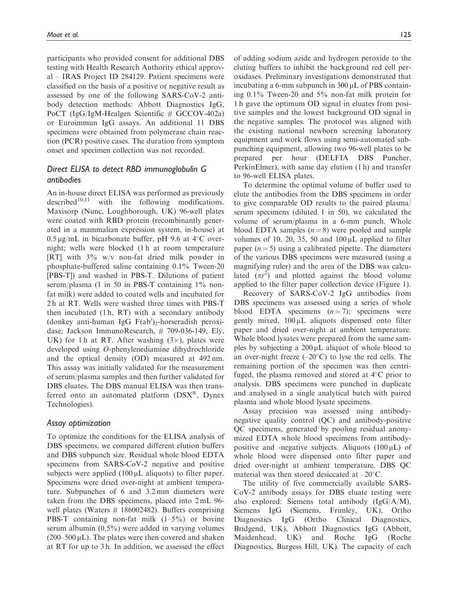participants who provided consent for additional DBS testing with Health Research Authority ethical approval – IRAS Project ID 284129. Patient specimens were classified on the basis of a positive or negative result as assessed by one of the following SARS-CoV-2 antibody detection methods: Abbott Diagnostics IgG, PoCT (IgG/IgM-Healgen Scientific # GCCOV-402a) or Euroimmun IgG assays. An additional 11 DBS specimens were obtained from polymerase chain reaction (PCR) positive cases. The duration from symptom onset and specimen collection was not recorded.

# Direct ELISA to detect RBD immunoglobulin G antibodies

An in-house direct ELISA was performed as previously<br>described<sup>10,11</sup> with the following modifications. with the following modifications. Maxisorp (Nunc, Loughborough, UK) 96-well plates were coated with RBD protein (recombinantly generated in a mammalian expression system, in-house) at  $0.5 \,\mathrm{\upmu g/mL}$  in bicarbonate buffer, pH 9.6 at 4 $\rm{^{\circ}C}$  overnight; wells were blocked (1 h at room temperature [RT] with 3% w/v non-fat dried milk powder in phosphate-buffered saline containing 0.1% Tween-20 [PBS-T]) and washed in PBS-T. Dilutions of patient serum/plasma (1 in 50 in PBS-T containing  $1\%$  nonfat milk) were added to coated wells and incubated for 2 h at RT. Wells were washed three times with PBS-T then incubated (1 h, RT) with a secondary antibody  $(d$ onkey anti-human IgG  $F(ab')_2$ -horseradish peroxidase; Jackson ImmunoResearch, # 709-036-149, Ely, UK) for 1 h at RT. After washing  $(3\times)$ , plates were developed using O-phenylenediamine dihydrochloride and the optical density (OD) measured at 492 nm. This assay was initially validated for the measurement of serum/plasma samples and then further validated for DBS eluates. The DBS manual ELISA was then transferred onto an automated platform  $(DSX^{\circledast})$ , Dynex Technologies).

## Assay optimization

To optimize the conditions for the ELISA analysis of DBS specimens, we compared different elution buffers and DBS subpunch size. Residual whole blood EDTA specimens from SARS-CoV-2 negative and positive subjects were applied  $(100 \mu L)$  aliquots) to filter paper. Specimens were dried over-night at ambient temperature. Subpunches of 6 and 3.2 mm diameters were taken from the DBS specimens, placed into 2 mL 96 well plates (Waters  $\#$  186002482). Buffers comprising PBS-T containing non-fat milk (1–5%) or bovine serum albumin (0.5%) were added in varying volumes  $(200–500 \,\mu L)$ . The plates were then covered and shaken at RT for up to 3 h. In addition, we assessed the effect

of adding sodium azide and hydrogen peroxide to the eluting buffers to inhibit the background red cell peroxidases. Preliminary investigations demonstrated that incubating a 6-mm subpunch in 300  $\mu$ L of PBS containing 0.1% Tween-20 and 5% non-fat milk protein for 1 h gave the optimum OD signal in eluates from positive samples and the lowest background OD signal in the negative samples. The protocol was aligned with the existing national newborn screening laboratory equipment and work flows using semi-automated subpunching equipment, allowing two 96-well plates to be prepared per hour (DELFIA DBS Puncher, PerkinElmer), with same day elution (1 h) and transfer to 96-well ELISA plates.

To determine the optimal volume of buffer used to elute the antibodies from the DBS specimens in order to give comparable OD results to the paired plasma/ serum specimens (diluted 1 in 50), we calculated the volume of serum/plasma in a 6-mm punch. Whole blood EDTA samples  $(n = 8)$  were pooled and sample volumes of 10, 20, 35, 50 and  $100 \mu L$  applied to filter paper  $(n = 5)$  using a calibrated pipette. The diameters of the various DBS specimens were measured (using a magnifying ruler) and the area of the DBS was calculated  $(\pi r^2)$  and plotted against the blood volume applied to the filter paper collection device (Figure 1).

Recovery of SARS-CoV-2 IgG antibodies from DBS specimens was assessed using a series of whole blood EDTA specimens  $(n = 7)$ ; specimens were gently mixed,  $100 \mu L$  aliquots dispensed onto filter paper and dried over-night at ambient temperature. Whole blood lysates were prepared from the same samples by subjecting a  $200 \mu L$  aliquot of whole blood to an over-night freeze  $(-20^{\circ}C)$  to lyse the red cells. The remaining portion of the specimen was then centrifuged, the plasma removed and stored at  $4^{\circ}$ C prior to analysis. DBS specimens were punched in duplicate and analysed in a single analytical batch with paired plasma and whole blood lysate specimens.

Assay precision was assessed using antibodynegative quality control (QC) and antibody-positive QC specimens, generated by pooling residual anonymized EDTA whole blood specimens from antibodypositive and -negative subjects. Aliquots  $(100 \,\mu L)$  of whole blood were dispensed onto filter paper and dried over-night at ambient temperature. DBS QC material was then stored desiccated at  $-20^{\circ}$ C.

The utility of five commercially available SARS-CoV-2 antibody assays for DBS eluate testing were also explored: Siemens total antibody (IgG/A/M), Siemens IgG (Siemens, Frimley, UK), Ortho Diagnostics IgG (Ortho Clinical Diagnostics, Bridgend, UK), Abbott Diagnostics IgG (Abbott, Maidenhead, UK) and Roche IgG (Roche Diagnostics, Burgess Hill, UK). The capacity of each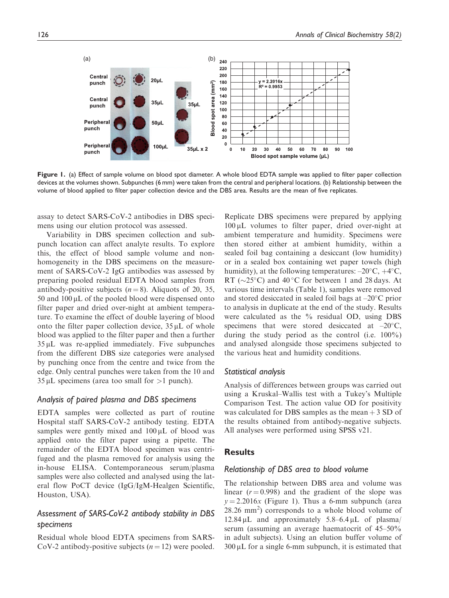

Figure 1. (a) Effect of sample volume on blood spot diameter. A whole blood EDTA sample was applied to filter paper collection devices at the volumes shown. Subpunches (6 mm) were taken from the central and peripheral locations. (b) Relationship between the volume of blood applied to filter paper collection device and the DBS area. Results are the mean of five replicates.

assay to detect SARS-CoV-2 antibodies in DBS specimens using our elution protocol was assessed.

Variability in DBS specimen collection and subpunch location can affect analyte results. To explore this, the effect of blood sample volume and nonhomogeneity in the DBS specimens on the measurement of SARS-CoV-2 IgG antibodies was assessed by preparing pooled residual EDTA blood samples from antibody-positive subjects  $(n = 8)$ . Aliquots of 20, 35,  $50$  and  $100 \mu L$  of the pooled blood were dispensed onto filter paper and dried over-night at ambient temperature. To examine the effect of double layering of blood onto the filter paper collection device,  $35 \mu L$  of whole blood was applied to the filter paper and then a further 35 mL was re-applied immediately. Five subpunches from the different DBS size categories were analysed by punching once from the centre and twice from the edge. Only central punches were taken from the 10 and  $35 \mu L$  specimens (area too small for  $>1$  punch).

### Analysis of paired plasma and DBS specimens

EDTA samples were collected as part of routine Hospital staff SARS-CoV-2 antibody testing. EDTA samples were gently mixed and  $100 \mu L$  of blood was applied onto the filter paper using a pipette. The remainder of the EDTA blood specimen was centrifuged and the plasma removed for analysis using the in-house ELISA. Contemporaneous serum/plasma samples were also collected and analysed using the lateral flow PoCT device (IgG/IgM-Healgen Scientific, Houston, USA).

# Assessment of SARS-CoV-2 antibody stability in DBS specimens

Residual whole blood EDTA specimens from SARS-CoV-2 antibody-positive subjects  $(n = 12)$  were pooled. Replicate DBS specimens were prepared by applying  $100 \mu L$  volumes to filter paper, dried over-night at ambient temperature and humidity. Specimens were then stored either at ambient humidity, within a sealed foil bag containing a desiccant (low humidity) or in a sealed box containing wet paper towels (high humidity), at the following temperatures:  $-20^{\circ}$ C,  $+4^{\circ}$ C, RT ( $\sim$ 25°C) and 40 °C for between 1 and 28 days. At various time intervals (Table 1), samples were removed and stored desiccated in sealed foil bags at  $-20^{\circ}$ C prior to analysis in duplicate at the end of the study. Results were calculated as the  $\%$  residual OD, using DBS specimens that were stored desiccated at  $-20^{\circ}$ C, during the study period as the control (i.e. 100%) and analysed alongside those specimens subjected to the various heat and humidity conditions.

## Statistical analysis

Analysis of differences between groups was carried out using a Kruskal–Wallis test with a Tukey's Multiple Comparison Test. The action value OD for positivity was calculated for DBS samples as the mean  $+3$  SD of the results obtained from antibody-negative subjects. All analyses were performed using SPSS v21.

## **Results**

#### Relationship of DBS area to blood volume

The relationship between DBS area and volume was linear  $(r = 0.998)$  and the gradient of the slope was  $y = 2.2016x$  (Figure 1). Thus a 6-mm subpunch (area  $28.26$  mm<sup>2</sup>) corresponds to a whole blood volume of 12.84  $\mu$ L and approximately 5.8–6.4  $\mu$ L of plasma/ serum (assuming an average haematocrit of 45–50% in adult subjects). Using an elution buffer volume of  $300 \mu L$  for a single 6-mm subpunch, it is estimated that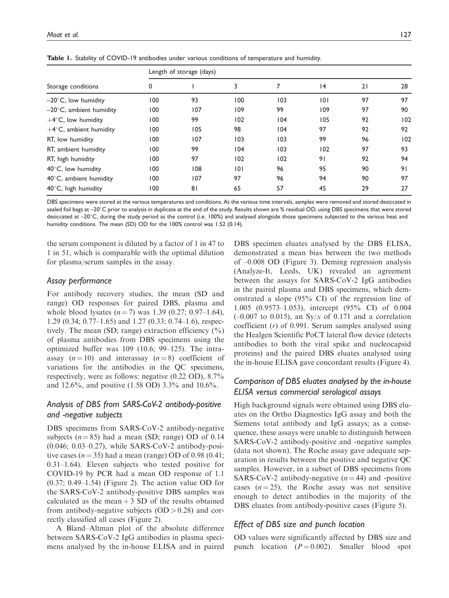| Storage conditions                | Length of storage (days) |     |     |     |                 |    |     |
|-----------------------------------|--------------------------|-----|-----|-----|-----------------|----|-----|
|                                   | 0                        |     | 3   | 7   | $\overline{14}$ | 21 | 28  |
| $-20^{\circ}$ C, low humidity     | 100                      | 93  | 100 | 103 | 0               | 97 | 97  |
| $-20^{\circ}$ C, ambient humidity | 100                      | 107 | 109 | 99  | 109             | 97 | 90  |
| $+4$ °C, low humidity             | 100                      | 99  | 102 | 104 | 105             | 92 | 102 |
| $+4$ °C, ambient humidity         | 100                      | 105 | 98  | 104 | 97              | 92 | 92  |
| RT, low humidity                  | 100                      | 107 | 103 | 103 | 99              | 96 | 102 |
| RT, ambient humidity              | 100                      | 99  | 104 | 103 | 102             | 97 | 93  |
| RT, high humidity                 | 100                      | 97  | 102 | 102 | 91              | 92 | 94  |
| $40^{\circ}$ C, low humidity      | 100                      | 108 | 0   | 96  | 95              | 90 | 91  |
| $40^{\circ}$ C, ambient humidity  | 100                      | 107 | 97  | 96  | 94              | 90 | 97  |
| 40°C, high humidity               | 00 ا                     | 81  | 65  | 57  | 45              | 29 | 27  |

Table 1. Stability of COVID-19 antibodies under various conditions of temperature and humidity.

DBS specimens were stored at the various temperatures and conditions. At the various time intervals, samples were removed and stored desiccated in sealed foil bags at –20°C prior to analysis in duplicate at the end of the study. Results shown are % residual OD, using DBS specimens that were stored desiccated at –20°C, during the study period as the control (i.e. 100%) and analysed alongside those specimens subjected to the various heat and humidity conditions. The mean (SD) OD for the 100% control was 1.52 (0.14).

the serum component is diluted by a factor of 1 in 47 to 1 in 51, which is comparable with the optimal dilution for plasma/serum samples in the assay.

## Assay performance

For antibody recovery studies, the mean (SD and range) OD responses for paired DBS, plasma and whole blood lysates  $(n = 7)$  was 1.39 (0.27; 0.97–1.64), 1.29 (0.34; 0.77–1.65) and 1.27 (0.33; 0.74–1.6), respectively. The mean (SD; range) extraction efficiency  $(\%)$ of plasma antibodies from DBS specimens using the optimized buffer was 109 (10.6; 99–125). The intraassay  $(n = 10)$  and interassay  $(n = 8)$  coefficient of variations for the antibodies in the QC specimens, respectively, were as follows: negative (0.22 OD), 8.7% and 12.6%, and positive (1.58 OD) 3.3% and 10.6%.

# Analysis of DBS from SARS-CoV-2 antibody-positive and -negative subjects

DBS specimens from SARS-CoV-2 antibody-negative subjects  $(n = 85)$  had a mean (SD; range) OD of 0.14 (0.046; 0.03–0.27), while SARS-CoV-2 antibody-positive cases ( $n = 35$ ) had a mean (range) OD of 0.98 (0.41; 0.31–1.64). Eleven subjects who tested positive for COVID-19 by PCR had a mean OD response of 1.1 (0.37; 0.49–1.54) (Figure 2). The action value OD for the SARS-CoV-2 antibody-positive DBS samples was calculated as the mean  $+3$  SD of the results obtained from antibody-negative subjects  $(OD > 0.28)$  and correctly classified all cases (Figure 2).

A Bland–Altman plot of the absolute difference between SARS-CoV-2 IgG antibodies in plasma specimens analysed by the in-house ELISA and in paired DBS specimen eluates analysed by the DBS ELISA, demonstrated a mean bias between the two methods of –0.008 OD (Figure 3). Deming regression analysis (Analyze-It, Leeds, UK) revealed an agreement between the assays for SARS-CoV-2 IgG antibodies in the paired plasma and DBS specimens, which demonstrated a slope (95% CI) of the regression line of 1.005 (0.9573–1.053), intercept (95% CI) of 0.004  $(-0.007$  to 0.015), an Sy/x of 0.171 and a correlation coefficient  $(r)$  of 0.991. Serum samples analysed using the Healgen Scientific PoCT lateral flow device (detects antibodies to both the viral spike and nucleocapsid proteins) and the paired DBS eluates analysed using the in-house ELISA gave concordant results (Figure 4).

# Comparison of DBS eluates analysed by the in-house ELISA versus commercial serological assays

High background signals were obtained using DBS eluates on the Ortho Diagnostics IgG assay and both the Siemens total antibody and IgG assays; as a consequence, these assays were unable to distinguish between SARS-CoV-2 antibody-positive and -negative samples (data not shown). The Roche assay gave adequate separation in results between the positive and negative QC samples. However, in a subset of DBS specimens from SARS-CoV-2 antibody-negative  $(n = 44)$  and -positive cases  $(n = 25)$ , the Roche assay was not sensitive enough to detect antibodies in the majority of the DBS eluates from antibody-positive cases (Figure 5).

# Effect of DBS size and punch location

OD values were significantly affected by DBS size and punch location  $(P = 0.002)$ . Smaller blood spot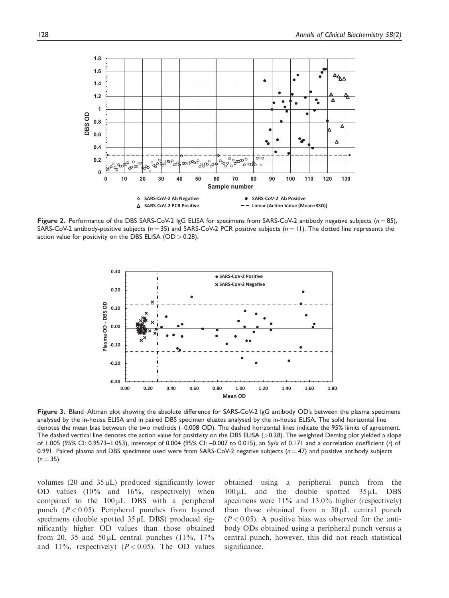

Figure 2. Performance of the DBS SARS-CoV-2  $\lg G$  ELISA for specimens from SARS-CoV-2 antibody negative subjects ( $n = 85$ ), SARS-CoV-2 antibody-positive subjects ( $n = 35$ ) and SARS-CoV-2 PCR positive subjects ( $n = 11$ ). The dotted line represents the action value for positivity on the DBS ELISA (OD  $> 0.28$ ).



Figure 3. Bland–Altman plot showing the absolute difference for SARS-CoV-2 IgG antibody OD's between the plasma specimens analysed by the in-house ELISA and in paired DBS specimen eluates analysed by the in-house ELISA. The solid horizontal line denotes the mean bias between the two methods (–0.008 OD). The dashed horizontal lines indicate the 95% limits of agreement. The dashed vertical line denotes the action value for positivity on the DBS ELISA (>0.28). The weighted Deming plot yielded a slope of 1.005 (95% CI: 0.9573–1.053), intercept of 0.004 (95% CI: –0.007 to 0.015), an Sy/x of 0.171 and a correlation coefficient (r) of 0.991. Paired plasma and DBS specimens used were from SARS-CoV-2 negative subjects ( $n = 47$ ) and positive antibody subjects  $(n = 35)$ .

volumes  $(20 \text{ and } 35 \mu L)$  produced significantly lower OD values (10% and 16%, respectively) when compared to the  $100 \mu L$  DBS with a peripheral punch  $(P<0.05)$ . Peripheral punches from layered specimens (double spotted  $35 \mu L$  DBS) produced significantly higher OD values than those obtained from 20, 35 and  $50 \mu L$  central punches (11%, 17% and 11%, respectively) ( $P < 0.05$ ). The OD values obtained using a peripheral punch from the  $100 \mu L$  and the double spotted  $35 \mu L$  DBS specimens were 11% and 13.0% higher (respectively) than those obtained from a  $50 \mu L$  central punch  $(P<0.05)$ . A positive bias was observed for the antibody ODs obtained using a peripheral punch versus a central punch, however, this did not reach statistical significance.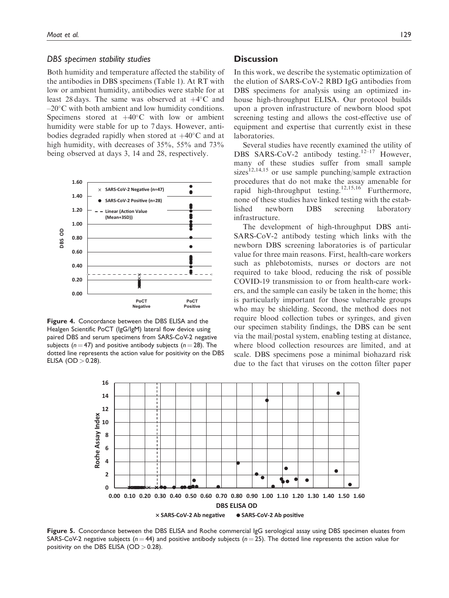#### DBS specimen stability studies

Both humidity and temperature affected the stability of the antibodies in DBS specimens (Table 1). At RT with low or ambient humidity, antibodies were stable for at least 28 days. The same was observed at  $+4^{\circ}$ C and  $-20^{\circ}$ C with both ambient and low humidity conditions. Specimens stored at  $+40^{\circ}$ C with low or ambient humidity were stable for up to 7 days. However, antibodies degraded rapidly when stored at  $+40^{\circ}$ C and at high humidity, with decreases of 35%, 55% and 73% being observed at days 3, 14 and 28, respectively.



Figure 4. Concordance between the DBS ELISA and the Healgen Scientific PoCT (IgG/IgM) lateral flow device using paired DBS and serum specimens from SARS-CoV-2 negative subjects ( $n = 47$ ) and positive antibody subjects ( $n = 28$ ). The dotted line represents the action value for positivity on the DBS ELISA (OD  $> 0.28$ ).

## **Discussion**

In this work, we describe the systematic optimization of the elution of SARS-CoV-2 RBD IgG antibodies from DBS specimens for analysis using an optimized inhouse high-throughput ELISA. Our protocol builds upon a proven infrastructure of newborn blood spot screening testing and allows the cost-effective use of equipment and expertise that currently exist in these laboratories.

Several studies have recently examined the utility of DBS SARS-CoV-2 antibody testing.<sup>12-17</sup> However, many of these studies suffer from small sample sizes<sup>12,14,15</sup> or use sample punching/sample extraction procedures that do not make the assay amenable for rapid high-throughput testing.<sup>12,15,16</sup> Furthermore, none of these studies have linked testing with the established newborn DBS screening laboratory infrastructure.

The development of high-throughput DBS anti-SARS-CoV-2 antibody testing which links with the newborn DBS screening laboratories is of particular value for three main reasons. First, health-care workers such as phlebotomists, nurses or doctors are not required to take blood, reducing the risk of possible COVID-19 transmission to or from health-care workers, and the sample can easily be taken in the home; this is particularly important for those vulnerable groups who may be shielding. Second, the method does not require blood collection tubes or syringes, and given our specimen stability findings, the DBS can be sent via the mail/postal system, enabling testing at distance, where blood collection resources are limited, and at scale. DBS specimens pose a minimal biohazard risk due to the fact that viruses on the cotton filter paper



Figure 5. Concordance between the DBS ELISA and Roche commercial IgG serological assay using DBS specimen eluates from SARS-CoV-2 negative subjects ( $n = 44$ ) and positive antibody subjects ( $n = 25$ ). The dotted line represents the action value for positivity on the DBS ELISA  $(OD > 0.28)$ .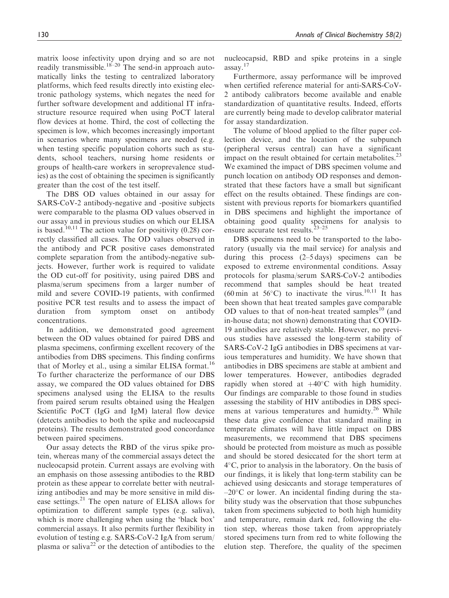matrix loose infectivity upon drying and so are not readily transmissible.<sup>18–20</sup> The send-in approach automatically links the testing to centralized laboratory platforms, which feed results directly into existing electronic pathology systems, which negates the need for further software development and additional IT infrastructure resource required when using PoCT lateral flow devices at home. Third, the cost of collecting the specimen is low, which becomes increasingly important in scenarios where many specimens are needed (e.g. when testing specific population cohorts such as students, school teachers, nursing home residents or groups of health-care workers in seroprevalence studies) as the cost of obtaining the specimen is significantly greater than the cost of the test itself.

The DBS OD values obtained in our assay for SARS-CoV-2 antibody-negative and -positive subjects were comparable to the plasma OD values observed in our assay and in previous studies on which our ELISA is based.<sup>10,11</sup> The action value for positivity  $(0.28)$  correctly classified all cases. The OD values observed in the antibody and PCR positive cases demonstrated complete separation from the antibody-negative subjects. However, further work is required to validate the OD cut-off for positivity, using paired DBS and plasma/serum specimens from a larger number of mild and severe COVID-19 patients, with confirmed positive PCR test results and to assess the impact of duration from symptom onset on antibody concentrations.

In addition, we demonstrated good agreement between the OD values obtained for paired DBS and plasma specimens, confirming excellent recovery of the antibodies from DBS specimens. This finding confirms that of Morley et al., using a similar ELISA format.<sup>16</sup> To further characterize the performance of our DBS assay, we compared the OD values obtained for DBS specimens analysed using the ELISA to the results from paired serum results obtained using the Healgen Scientific PoCT (IgG and IgM) lateral flow device (detects antibodies to both the spike and nucleocapsid proteins). The results demonstrated good concordance between paired specimens.

Our assay detects the RBD of the virus spike protein, whereas many of the commercial assays detect the nucleocapsid protein. Current assays are evolving with an emphasis on those assessing antibodies to the RBD protein as these appear to correlate better with neutralizing antibodies and may be more sensitive in mild disease settings.<sup>21</sup> The open nature of ELISA allows for optimization to different sample types (e.g. saliva), which is more challenging when using the 'black box' commercial assays. It also permits further flexibility in evolution of testing e.g. SARS-CoV-2 IgA from serum/ plasma or saliva<sup>22</sup> or the detection of antibodies to the nucleocapsid, RBD and spike proteins in a single assay.<sup>17</sup>

Furthermore, assay performance will be improved when certified reference material for anti-SARS-CoV-2 antibody calibrators become available and enable standardization of quantitative results. Indeed, efforts are currently being made to develop calibrator material for assay standardization.

The volume of blood applied to the filter paper collection device, and the location of the subpunch (peripheral versus central) can have a significant impact on the result obtained for certain metabolites. $^{23}$ We examined the impact of DBS specimen volume and punch location on antibody OD responses and demonstrated that these factors have a small but significant effect on the results obtained. These findings are consistent with previous reports for biomarkers quantified in DBS specimens and highlight the importance of obtaining good quality specimens for analysis to ensure accurate test results. $23-25$ 

DBS specimens need to be transported to the laboratory (usually via the mail service) for analysis and during this process (2–5 days) specimens can be exposed to extreme environmental conditions. Assay protocols for plasma/serum SARS-CoV-2 antibodies recommend that samples should be heat treated  $(60 \text{ min at } 56^{\circ}\text{C})$  to inactivate the virus.<sup>10,11</sup> It has been shown that heat treated samples gave comparable OD values to that of non-heat treated samples<sup>10</sup> (and in-house data; not shown) demonstrating that COVID-19 antibodies are relatively stable. However, no previous studies have assessed the long-term stability of SARS-CoV-2 IgG antibodies in DBS specimens at various temperatures and humidity. We have shown that antibodies in DBS specimens are stable at ambient and lower temperatures. However, antibodies degraded rapidly when stored at  $+40^{\circ}$ C with high humidity. Our findings are comparable to those found in studies assessing the stability of HIV antibodies in DBS specimens at various temperatures and humidty.<sup>26</sup> While these data give confidence that standard mailing in temperate climates will have little impact on DBS measurements, we recommend that DBS specimens should be protected from moisture as much as possible and should be stored desiccated for the short term at 4-C, prior to analysis in the laboratory. On the basis of our findings, it is likely that long-term stability can be achieved using desiccants and storage temperatures of  $-20^{\circ}$ C or lower. An incidental finding during the stability study was the observation that those subpunches taken from specimens subjected to both high humidity and temperature, remain dark red, following the elution step, whereas those taken from appropriately stored specimens turn from red to white following the elution step. Therefore, the quality of the specimen